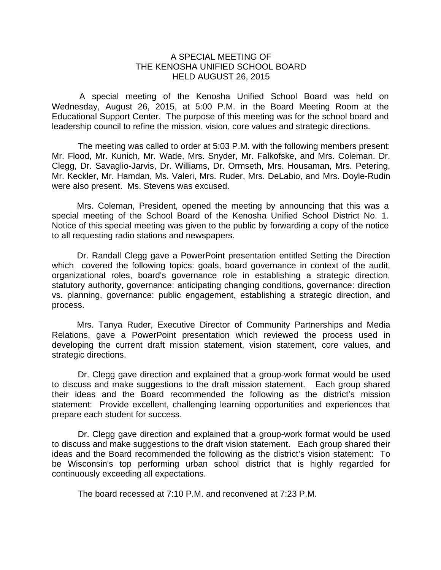## A SPECIAL MEETING OF THE KENOSHA UNIFIED SCHOOL BOARD HELD AUGUST 26, 2015

 A special meeting of the Kenosha Unified School Board was held on Wednesday, August 26, 2015, at 5:00 P.M. in the Board Meeting Room at the Educational Support Center. The purpose of this meeting was for the school board and leadership council to refine the mission, vision, core values and strategic directions.

The meeting was called to order at 5:03 P.M. with the following members present: Mr. Flood, Mr. Kunich, Mr. Wade, Mrs. Snyder, Mr. Falkofske, and Mrs. Coleman. Dr. Clegg, Dr. Savaglio-Jarvis, Dr. Williams, Dr. Ormseth, Mrs. Housaman, Mrs. Petering, Mr. Keckler, Mr. Hamdan, Ms. Valeri, Mrs. Ruder, Mrs. DeLabio, and Mrs. Doyle-Rudin were also present. Ms. Stevens was excused.

Mrs. Coleman, President, opened the meeting by announcing that this was a special meeting of the School Board of the Kenosha Unified School District No. 1. Notice of this special meeting was given to the public by forwarding a copy of the notice to all requesting radio stations and newspapers.

 Dr. Randall Clegg gave a PowerPoint presentation entitled Setting the Direction which covered the following topics: goals, board governance in context of the audit, organizational roles, board's governance role in establishing a strategic direction, statutory authority, governance: anticipating changing conditions, governance: direction vs. planning, governance: public engagement, establishing a strategic direction, and process.

 Mrs. Tanya Ruder, Executive Director of Community Partnerships and Media Relations, gave a PowerPoint presentation which reviewed the process used in developing the current draft mission statement, vision statement, core values, and strategic directions.

 Dr. Clegg gave direction and explained that a group-work format would be used to discuss and make suggestions to the draft mission statement. Each group shared their ideas and the Board recommended the following as the district's mission statement: Provide excellent, challenging learning opportunities and experiences that prepare each student for success.

 Dr. Clegg gave direction and explained that a group-work format would be used to discuss and make suggestions to the draft vision statement. Each group shared their ideas and the Board recommended the following as the district's vision statement: To be Wisconsin's top performing urban school district that is highly regarded for continuously exceeding all expectations.

The board recessed at 7:10 P.M. and reconvened at 7:23 P.M.